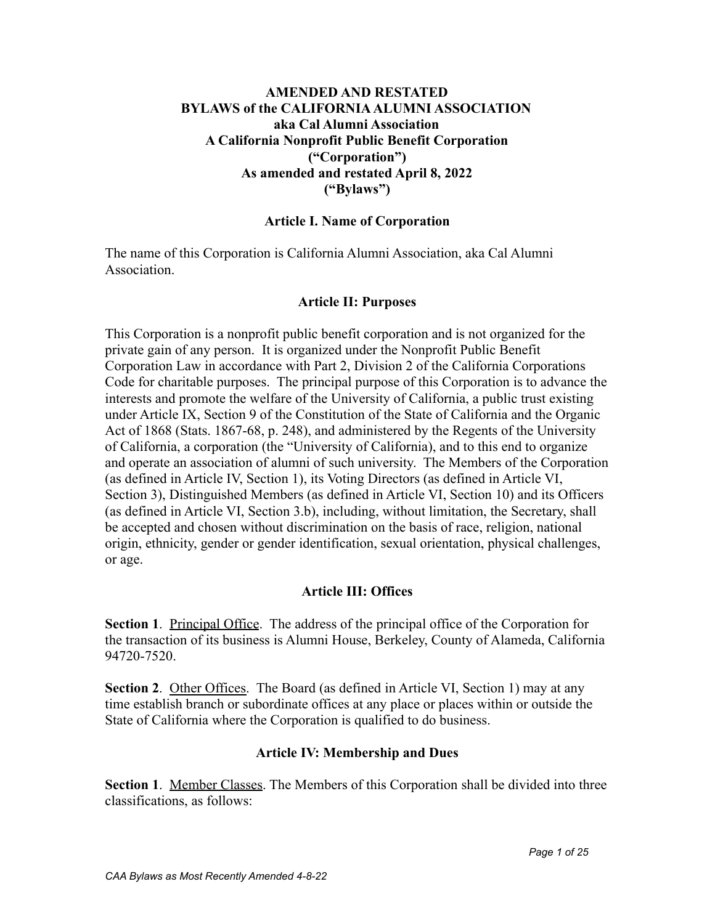## **AMENDED AND RESTATED BYLAWS of the CALIFORNIA ALUMNI ASSOCIATION aka Cal Alumni Association A California Nonprofit Public Benefit Corporation ("Corporation") As amended and restated April 8, 2022 ("Bylaws")**

#### **Article I. Name of Corporation**

The name of this Corporation is California Alumni Association, aka Cal Alumni Association.

#### **Article II: Purposes**

This Corporation is a nonprofit public benefit corporation and is not organized for the private gain of any person. It is organized under the Nonprofit Public Benefit Corporation Law in accordance with Part 2, Division 2 of the California Corporations Code for charitable purposes. The principal purpose of this Corporation is to advance the interests and promote the welfare of the University of California, a public trust existing under Article IX, Section 9 of the Constitution of the State of California and the Organic Act of 1868 (Stats. 1867-68, p. 248), and administered by the Regents of the University of California, a corporation (the "University of California), and to this end to organize and operate an association of alumni of such university. The Members of the Corporation (as defined in Article IV, Section 1), its Voting Directors (as defined in Article VI, Section 3), Distinguished Members (as defined in Article VI, Section 10) and its Officers (as defined in Article VI, Section 3.b), including, without limitation, the Secretary, shall be accepted and chosen without discrimination on the basis of race, religion, national origin, ethnicity, gender or gender identification, sexual orientation, physical challenges, or age.

#### **Article III: Offices**

**Section 1**. Principal Office. The address of the principal office of the Corporation for the transaction of its business is Alumni House, Berkeley, County of Alameda, California 94720-7520.

**Section 2**. Other Offices. The Board (as defined in Article VI, Section 1) may at any time establish branch or subordinate offices at any place or places within or outside the State of California where the Corporation is qualified to do business.

#### **Article IV: Membership and Dues**

**Section 1**. Member Classes. The Members of this Corporation shall be divided into three classifications, as follows: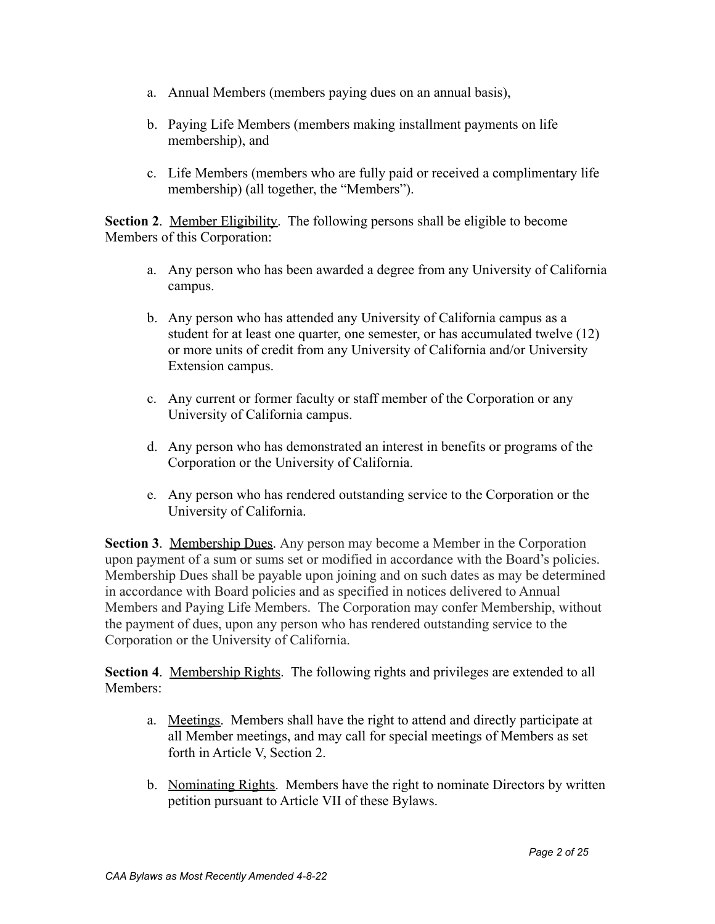- a. Annual Members (members paying dues on an annual basis),
- b. Paying Life Members (members making installment payments on life membership), and
- c. Life Members (members who are fully paid or received a complimentary life membership) (all together, the "Members").

**Section 2.** Member Eligibility. The following persons shall be eligible to become Members of this Corporation:

- a. Any person who has been awarded a degree from any University of California campus.
- b. Any person who has attended any University of California campus as a student for at least one quarter, one semester, or has accumulated twelve (12) or more units of credit from any University of California and/or University Extension campus.
- c. Any current or former faculty or staff member of the Corporation or any University of California campus.
- d. Any person who has demonstrated an interest in benefits or programs of the Corporation or the University of California.
- e. Any person who has rendered outstanding service to the Corporation or the University of California.

**Section 3**. Membership Dues. Any person may become a Member in the Corporation upon payment of a sum or sums set or modified in accordance with the Board's policies. Membership Dues shall be payable upon joining and on such dates as may be determined in accordance with Board policies and as specified in notices delivered to Annual Members and Paying Life Members. The Corporation may confer Membership, without the payment of dues, upon any person who has rendered outstanding service to the Corporation or the University of California.

**Section 4.** Membership Rights. The following rights and privileges are extended to all Members:

- a. Meetings. Members shall have the right to attend and directly participate at all Member meetings, and may call for special meetings of Members as set forth in Article V, Section 2.
- b. Nominating Rights. Members have the right to nominate Directors by written petition pursuant to Article VII of these Bylaws.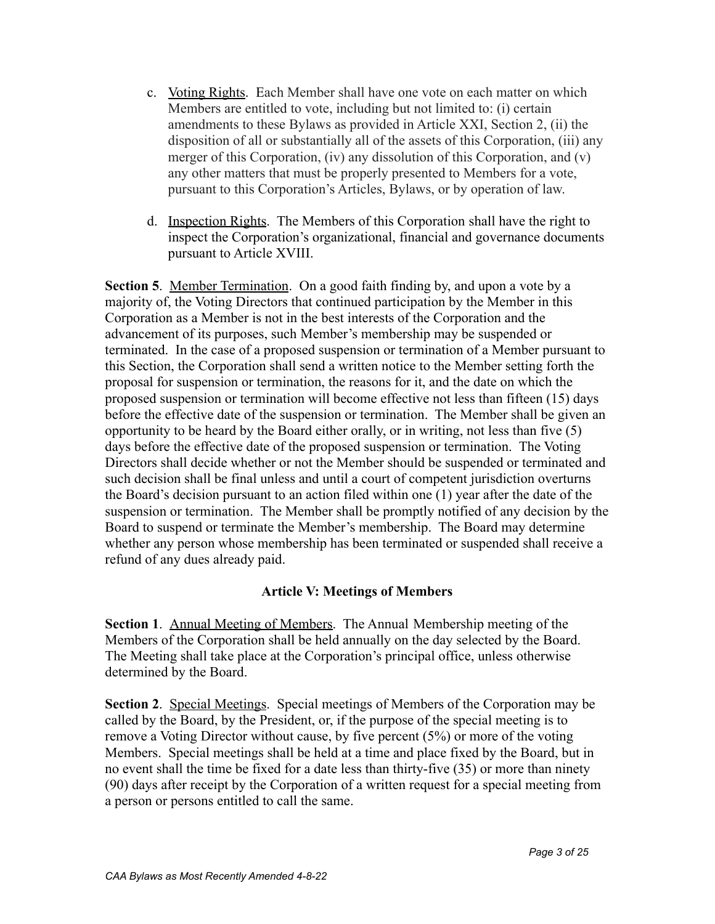- c. Voting Rights. Each Member shall have one vote on each matter on which Members are entitled to vote, including but not limited to: (i) certain amendments to these Bylaws as provided in Article XXI, Section 2, (ii) the disposition of all or substantially all of the assets of this Corporation, (iii) any merger of this Corporation, (iv) any dissolution of this Corporation, and (v) any other matters that must be properly presented to Members for a vote, pursuant to this Corporation's Articles, Bylaws, or by operation of law.
- d. Inspection Rights. The Members of this Corporation shall have the right to inspect the Corporation's organizational, financial and governance documents pursuant to Article XVIII.

**Section 5**. Member Termination. On a good faith finding by, and upon a vote by a majority of, the Voting Directors that continued participation by the Member in this Corporation as a Member is not in the best interests of the Corporation and the advancement of its purposes, such Member's membership may be suspended or terminated. In the case of a proposed suspension or termination of a Member pursuant to this Section, the Corporation shall send a written notice to the Member setting forth the proposal for suspension or termination, the reasons for it, and the date on which the proposed suspension or termination will become effective not less than fifteen (15) days before the effective date of the suspension or termination. The Member shall be given an opportunity to be heard by the Board either orally, or in writing, not less than five (5) days before the effective date of the proposed suspension or termination. The Voting Directors shall decide whether or not the Member should be suspended or terminated and such decision shall be final unless and until a court of competent jurisdiction overturns the Board's decision pursuant to an action filed within one (1) year after the date of the suspension or termination. The Member shall be promptly notified of any decision by the Board to suspend or terminate the Member's membership. The Board may determine whether any person whose membership has been terminated or suspended shall receive a refund of any dues already paid.

## **Article V: Meetings of Members**

**Section 1**. Annual Meeting of Members. The Annual Membership meeting of the Members of the Corporation shall be held annually on the day selected by the Board. The Meeting shall take place at the Corporation's principal office, unless otherwise determined by the Board.

**Section 2**. Special Meetings. Special meetings of Members of the Corporation may be called by the Board, by the President, or, if the purpose of the special meeting is to remove a Voting Director without cause, by five percent (5%) or more of the voting Members. Special meetings shall be held at a time and place fixed by the Board, but in no event shall the time be fixed for a date less than thirty-five (35) or more than ninety (90) days after receipt by the Corporation of a written request for a special meeting from a person or persons entitled to call the same.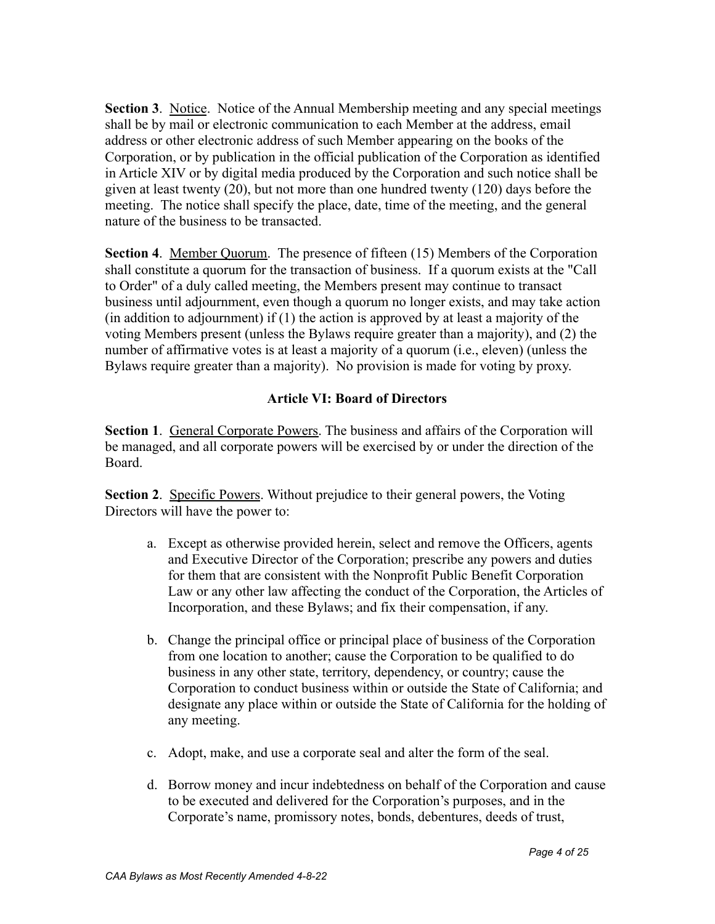**Section 3**. Notice. Notice of the Annual Membership meeting and any special meetings shall be by mail or electronic communication to each Member at the address, email address or other electronic address of such Member appearing on the books of the Corporation, or by publication in the official publication of the Corporation as identified in Article XIV or by digital media produced by the Corporation and such notice shall be given at least twenty (20), but not more than one hundred twenty (120) days before the meeting. The notice shall specify the place, date, time of the meeting, and the general nature of the business to be transacted.

**Section 4**. Member Quorum. The presence of fifteen (15) Members of the Corporation shall constitute a quorum for the transaction of business. If a quorum exists at the "Call to Order" of a duly called meeting, the Members present may continue to transact business until adjournment, even though a quorum no longer exists, and may take action (in addition to adjournment) if  $(1)$  the action is approved by at least a majority of the voting Members present (unless the Bylaws require greater than a majority), and (2) the number of affirmative votes is at least a majority of a quorum (i.e., eleven) (unless the Bylaws require greater than a majority). No provision is made for voting by proxy.

# **Article VI: Board of Directors**

**Section 1**. General Corporate Powers. The business and affairs of the Corporation will be managed, and all corporate powers will be exercised by or under the direction of the **Board** 

**Section 2**. Specific Powers. Without prejudice to their general powers, the Voting Directors will have the power to:

- a. Except as otherwise provided herein, select and remove the Officers, agents and Executive Director of the Corporation; prescribe any powers and duties for them that are consistent with the Nonprofit Public Benefit Corporation Law or any other law affecting the conduct of the Corporation, the Articles of Incorporation, and these Bylaws; and fix their compensation, if any.
- b. Change the principal office or principal place of business of the Corporation from one location to another; cause the Corporation to be qualified to do business in any other state, territory, dependency, or country; cause the Corporation to conduct business within or outside the State of California; and designate any place within or outside the State of California for the holding of any meeting.
- c. Adopt, make, and use a corporate seal and alter the form of the seal.
- d. Borrow money and incur indebtedness on behalf of the Corporation and cause to be executed and delivered for the Corporation's purposes, and in the Corporate's name, promissory notes, bonds, debentures, deeds of trust,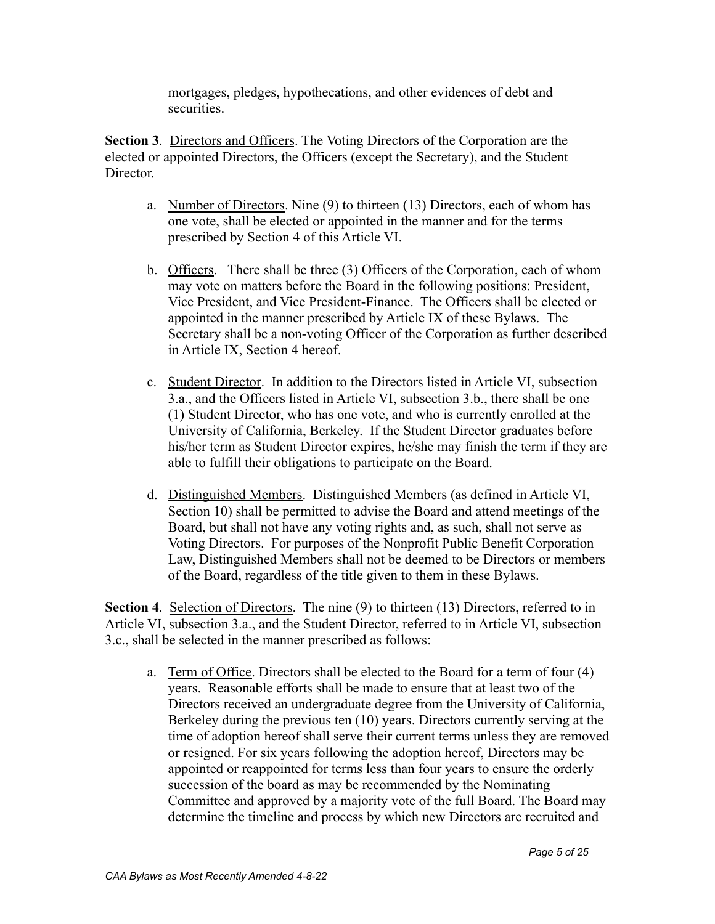mortgages, pledges, hypothecations, and other evidences of debt and securities.

**Section 3**. Directors and Officers. The Voting Directors of the Corporation are the elected or appointed Directors, the Officers (except the Secretary), and the Student Director.

- a. Number of Directors. Nine (9) to thirteen (13) Directors, each of whom has one vote, shall be elected or appointed in the manner and for the terms prescribed by Section 4 of this Article VI.
- b. Officers. There shall be three (3) Officers of the Corporation, each of whom may vote on matters before the Board in the following positions: President, Vice President, and Vice President-Finance. The Officers shall be elected or appointed in the manner prescribed by Article IX of these Bylaws. The Secretary shall be a non-voting Officer of the Corporation as further described in Article IX, Section 4 hereof.
- c. Student Director. In addition to the Directors listed in Article VI, subsection 3.a., and the Officers listed in Article VI, subsection 3.b., there shall be one (1) Student Director, who has one vote, and who is currently enrolled at the University of California, Berkeley. If the Student Director graduates before his/her term as Student Director expires, he/she may finish the term if they are able to fulfill their obligations to participate on the Board.
- d. Distinguished Members. Distinguished Members (as defined in Article VI, Section 10) shall be permitted to advise the Board and attend meetings of the Board, but shall not have any voting rights and, as such, shall not serve as Voting Directors. For purposes of the Nonprofit Public Benefit Corporation Law, Distinguished Members shall not be deemed to be Directors or members of the Board, regardless of the title given to them in these Bylaws.

**Section 4.** Selection of Directors. The nine (9) to thirteen (13) Directors, referred to in Article VI, subsection 3.a., and the Student Director, referred to in Article VI, subsection 3.c., shall be selected in the manner prescribed as follows:

a. Term of Office. Directors shall be elected to the Board for a term of four (4) years. Reasonable efforts shall be made to ensure that at least two of the Directors received an undergraduate degree from the University of California, Berkeley during the previous ten (10) years. Directors currently serving at the time of adoption hereof shall serve their current terms unless they are removed or resigned. For six years following the adoption hereof, Directors may be appointed or reappointed for terms less than four years to ensure the orderly succession of the board as may be recommended by the Nominating Committee and approved by a majority vote of the full Board. The Board may determine the timeline and process by which new Directors are recruited and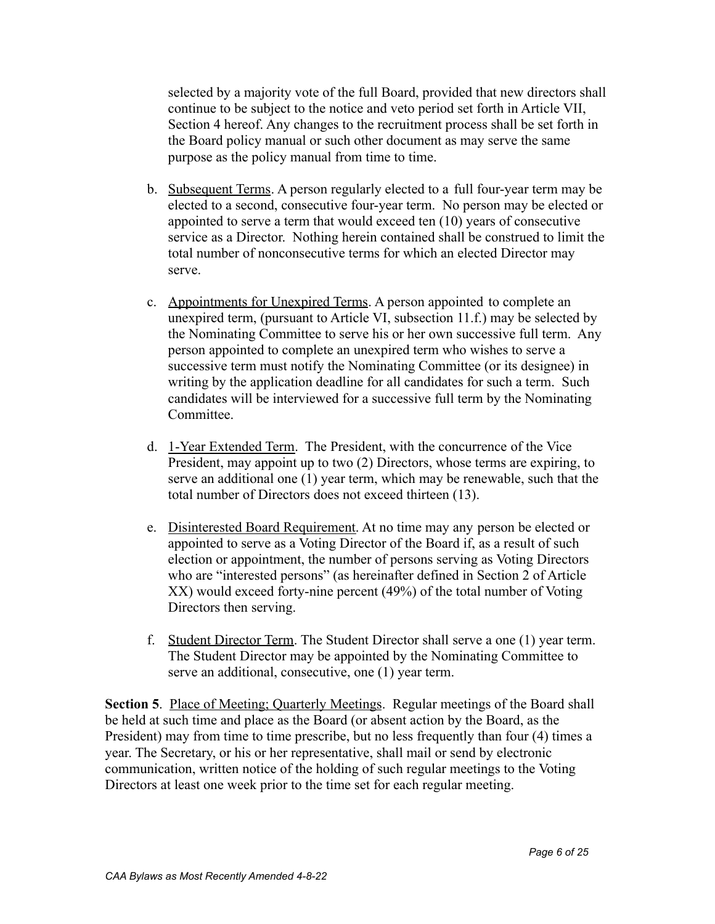selected by a majority vote of the full Board, provided that new directors shall continue to be subject to the notice and veto period set forth in Article VII, Section 4 hereof. Any changes to the recruitment process shall be set forth in the Board policy manual or such other document as may serve the same purpose as the policy manual from time to time.

- b. Subsequent Terms. A person regularly elected to a full four-year term may be elected to a second, consecutive four-year term. No person may be elected or appointed to serve a term that would exceed ten (10) years of consecutive service as a Director. Nothing herein contained shall be construed to limit the total number of nonconsecutive terms for which an elected Director may serve.
- c. Appointments for Unexpired Terms. A person appointed to complete an unexpired term, (pursuant to Article VI, subsection 11.f.) may be selected by the Nominating Committee to serve his or her own successive full term. Any person appointed to complete an unexpired term who wishes to serve a successive term must notify the Nominating Committee (or its designee) in writing by the application deadline for all candidates for such a term. Such candidates will be interviewed for a successive full term by the Nominating **Committee**
- d. 1-Year Extended Term. The President, with the concurrence of the Vice President, may appoint up to two (2) Directors, whose terms are expiring, to serve an additional one (1) year term, which may be renewable, such that the total number of Directors does not exceed thirteen (13).
- e. Disinterested Board Requirement. At no time may any person be elected or appointed to serve as a Voting Director of the Board if, as a result of such election or appointment, the number of persons serving as Voting Directors who are "interested persons" (as hereinafter defined in Section 2 of Article XX) would exceed forty-nine percent (49%) of the total number of Voting Directors then serving.
- f. Student Director Term. The Student Director shall serve a one (1) year term. The Student Director may be appointed by the Nominating Committee to serve an additional, consecutive, one (1) year term.

**Section 5**. Place of Meeting; Quarterly Meetings. Regular meetings of the Board shall be held at such time and place as the Board (or absent action by the Board, as the President) may from time to time prescribe, but no less frequently than four (4) times a year. The Secretary, or his or her representative, shall mail or send by electronic communication, written notice of the holding of such regular meetings to the Voting Directors at least one week prior to the time set for each regular meeting.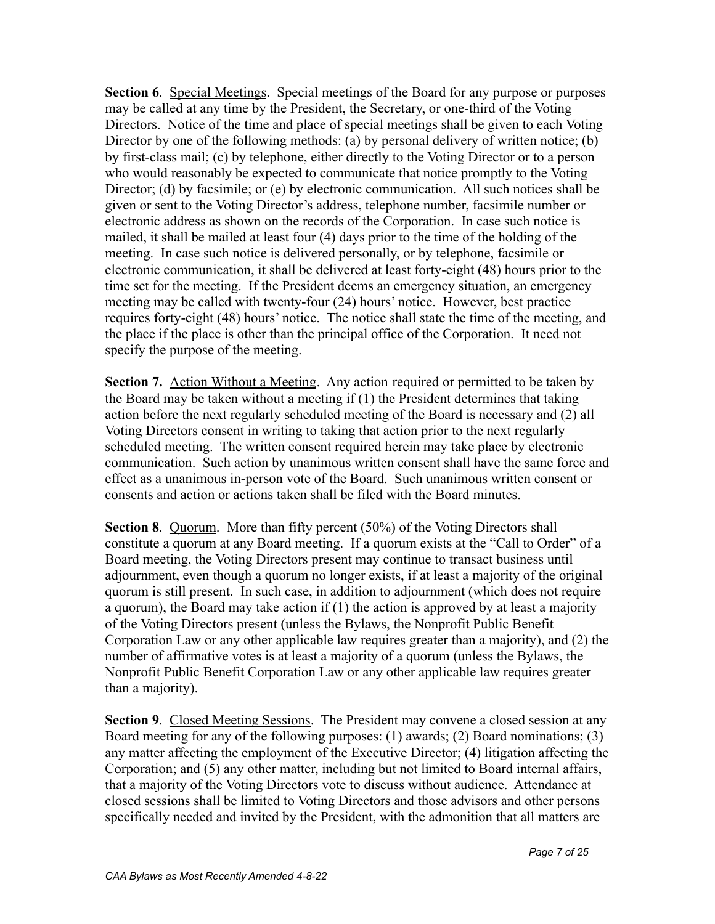**Section 6**. Special Meetings. Special meetings of the Board for any purpose or purposes may be called at any time by the President, the Secretary, or one-third of the Voting Directors. Notice of the time and place of special meetings shall be given to each Voting Director by one of the following methods: (a) by personal delivery of written notice; (b) by first-class mail; (c) by telephone, either directly to the Voting Director or to a person who would reasonably be expected to communicate that notice promptly to the Voting Director; (d) by facsimile; or (e) by electronic communication. All such notices shall be given or sent to the Voting Director's address, telephone number, facsimile number or electronic address as shown on the records of the Corporation. In case such notice is mailed, it shall be mailed at least four (4) days prior to the time of the holding of the meeting. In case such notice is delivered personally, or by telephone, facsimile or electronic communication, it shall be delivered at least forty-eight (48) hours prior to the time set for the meeting. If the President deems an emergency situation, an emergency meeting may be called with twenty-four (24) hours' notice. However, best practice requires forty-eight (48) hours' notice. The notice shall state the time of the meeting, and the place if the place is other than the principal office of the Corporation. It need not specify the purpose of the meeting.

**Section 7.** Action Without a Meeting. Any action required or permitted to be taken by the Board may be taken without a meeting if (1) the President determines that taking action before the next regularly scheduled meeting of the Board is necessary and (2) all Voting Directors consent in writing to taking that action prior to the next regularly scheduled meeting. The written consent required herein may take place by electronic communication. Such action by unanimous written consent shall have the same force and effect as a unanimous in-person vote of the Board. Such unanimous written consent or consents and action or actions taken shall be filed with the Board minutes.

**Section 8**. Quorum. More than fifty percent (50%) of the Voting Directors shall constitute a quorum at any Board meeting. If a quorum exists at the "Call to Order" of a Board meeting, the Voting Directors present may continue to transact business until adjournment, even though a quorum no longer exists, if at least a majority of the original quorum is still present. In such case, in addition to adjournment (which does not require a quorum), the Board may take action if (1) the action is approved by at least a majority of the Voting Directors present (unless the Bylaws, the Nonprofit Public Benefit Corporation Law or any other applicable law requires greater than a majority), and (2) the number of affirmative votes is at least a majority of a quorum (unless the Bylaws, the Nonprofit Public Benefit Corporation Law or any other applicable law requires greater than a majority).

**Section 9.** Closed Meeting Sessions. The President may convene a closed session at any Board meeting for any of the following purposes: (1) awards; (2) Board nominations; (3) any matter affecting the employment of the Executive Director; (4) litigation affecting the Corporation; and (5) any other matter, including but not limited to Board internal affairs, that a majority of the Voting Directors vote to discuss without audience. Attendance at closed sessions shall be limited to Voting Directors and those advisors and other persons specifically needed and invited by the President, with the admonition that all matters are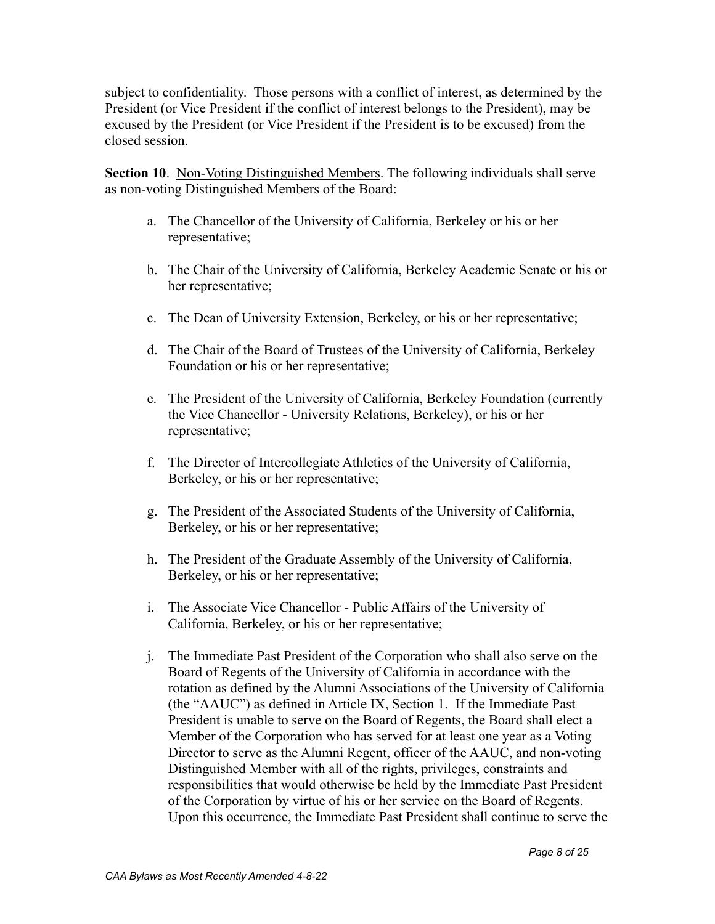subject to confidentiality. Those persons with a conflict of interest, as determined by the President (or Vice President if the conflict of interest belongs to the President), may be excused by the President (or Vice President if the President is to be excused) from the closed session.

**Section 10.** Non-Voting Distinguished Members. The following individuals shall serve as non-voting Distinguished Members of the Board:

- a. The Chancellor of the University of California, Berkeley or his or her representative;
- b. The Chair of the University of California, Berkeley Academic Senate or his or her representative;
- c. The Dean of University Extension, Berkeley, or his or her representative;
- d. The Chair of the Board of Trustees of the University of California, Berkeley Foundation or his or her representative;
- e. The President of the University of California, Berkeley Foundation (currently the Vice Chancellor - University Relations, Berkeley), or his or her representative;
- f. The Director of Intercollegiate Athletics of the University of California, Berkeley, or his or her representative;
- g. The President of the Associated Students of the University of California, Berkeley, or his or her representative;
- h. The President of the Graduate Assembly of the University of California, Berkeley, or his or her representative;
- i. The Associate Vice Chancellor Public Affairs of the University of California, Berkeley, or his or her representative;
- j. The Immediate Past President of the Corporation who shall also serve on the Board of Regents of the University of California in accordance with the rotation as defined by the Alumni Associations of the University of California (the "AAUC") as defined in Article IX, Section 1. If the Immediate Past President is unable to serve on the Board of Regents, the Board shall elect a Member of the Corporation who has served for at least one year as a Voting Director to serve as the Alumni Regent, officer of the AAUC, and non-voting Distinguished Member with all of the rights, privileges, constraints and responsibilities that would otherwise be held by the Immediate Past President of the Corporation by virtue of his or her service on the Board of Regents. Upon this occurrence, the Immediate Past President shall continue to serve the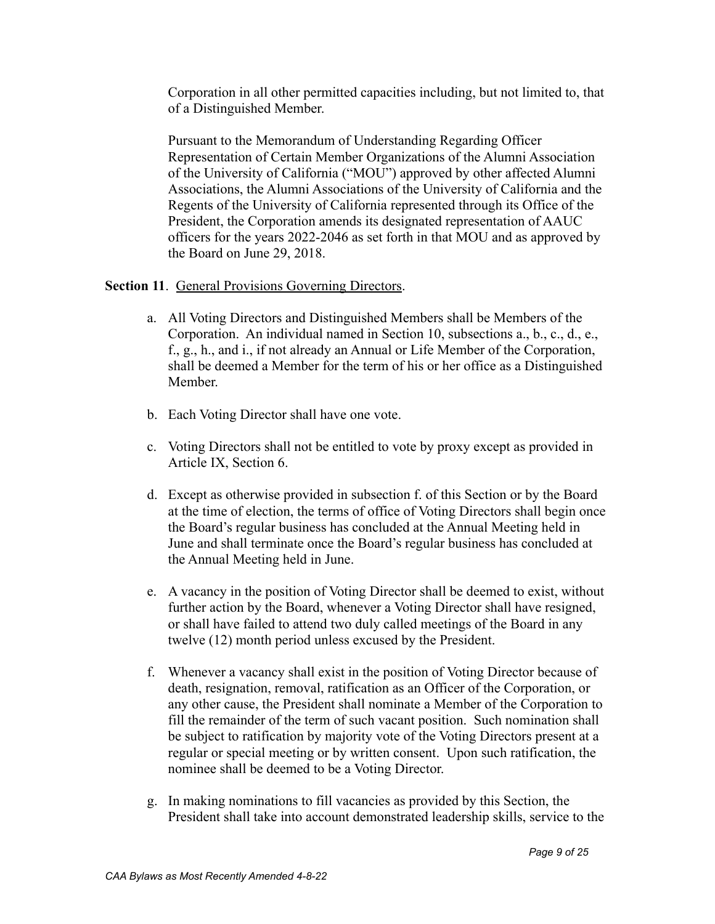Corporation in all other permitted capacities including, but not limited to, that of a Distinguished Member.

Pursuant to the Memorandum of Understanding Regarding Officer Representation of Certain Member Organizations of the Alumni Association of the University of California ("MOU") approved by other affected Alumni Associations, the Alumni Associations of the University of California and the Regents of the University of California represented through its Office of the President, the Corporation amends its designated representation of AAUC officers for the years 2022-2046 as set forth in that MOU and as approved by the Board on June 29, 2018.

### **Section 11**. General Provisions Governing Directors.

- a. All Voting Directors and Distinguished Members shall be Members of the Corporation. An individual named in Section 10, subsections a., b., c., d., e., f., g., h., and i., if not already an Annual or Life Member of the Corporation, shall be deemed a Member for the term of his or her office as a Distinguished Member.
- b. Each Voting Director shall have one vote.
- c. Voting Directors shall not be entitled to vote by proxy except as provided in Article IX, Section 6.
- d. Except as otherwise provided in subsection f. of this Section or by the Board at the time of election, the terms of office of Voting Directors shall begin once the Board's regular business has concluded at the Annual Meeting held in June and shall terminate once the Board's regular business has concluded at the Annual Meeting held in June.
- e. A vacancy in the position of Voting Director shall be deemed to exist, without further action by the Board, whenever a Voting Director shall have resigned, or shall have failed to attend two duly called meetings of the Board in any twelve (12) month period unless excused by the President.
- f. Whenever a vacancy shall exist in the position of Voting Director because of death, resignation, removal, ratification as an Officer of the Corporation, or any other cause, the President shall nominate a Member of the Corporation to fill the remainder of the term of such vacant position. Such nomination shall be subject to ratification by majority vote of the Voting Directors present at a regular or special meeting or by written consent. Upon such ratification, the nominee shall be deemed to be a Voting Director.
- g. In making nominations to fill vacancies as provided by this Section, the President shall take into account demonstrated leadership skills, service to the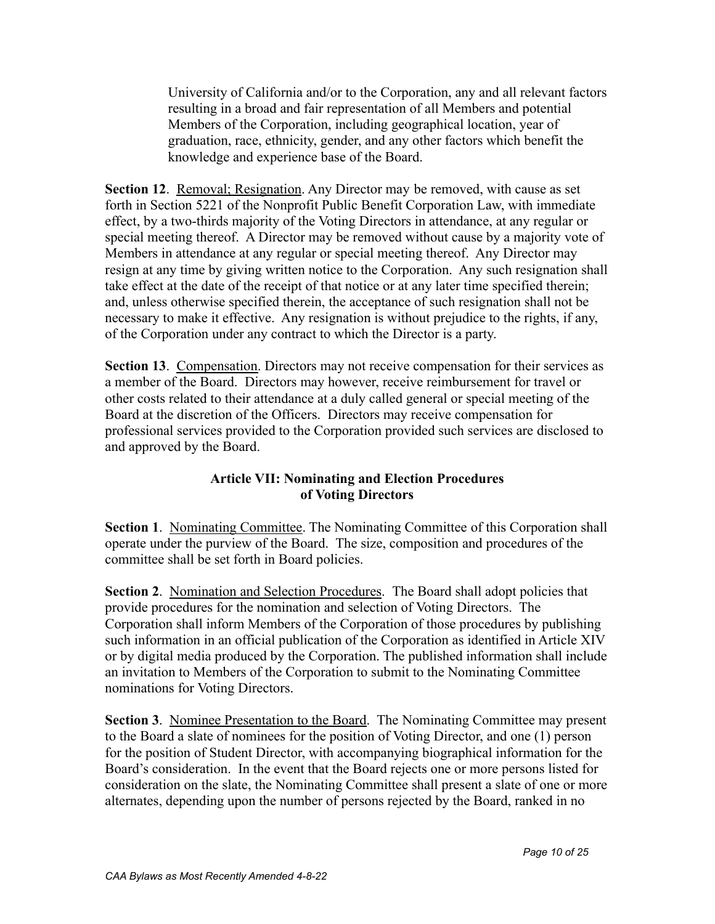University of California and/or to the Corporation, any and all relevant factors resulting in a broad and fair representation of all Members and potential Members of the Corporation, including geographical location, year of graduation, race, ethnicity, gender, and any other factors which benefit the knowledge and experience base of the Board.

**Section 12**. Removal; Resignation. Any Director may be removed, with cause as set forth in Section 5221 of the Nonprofit Public Benefit Corporation Law, with immediate effect, by a two-thirds majority of the Voting Directors in attendance, at any regular or special meeting thereof. A Director may be removed without cause by a majority vote of Members in attendance at any regular or special meeting thereof. Any Director may resign at any time by giving written notice to the Corporation. Any such resignation shall take effect at the date of the receipt of that notice or at any later time specified therein; and, unless otherwise specified therein, the acceptance of such resignation shall not be necessary to make it effective. Any resignation is without prejudice to the rights, if any, of the Corporation under any contract to which the Director is a party.

**Section 13**. Compensation. Directors may not receive compensation for their services as a member of the Board. Directors may however, receive reimbursement for travel or other costs related to their attendance at a duly called general or special meeting of the Board at the discretion of the Officers. Directors may receive compensation for professional services provided to the Corporation provided such services are disclosed to and approved by the Board.

## **Article VII: Nominating and Election Procedures of Voting Directors**

**Section 1**. Nominating Committee. The Nominating Committee of this Corporation shall operate under the purview of the Board. The size, composition and procedures of the committee shall be set forth in Board policies.

**Section 2**. Nomination and Selection Procedures. The Board shall adopt policies that provide procedures for the nomination and selection of Voting Directors. The Corporation shall inform Members of the Corporation of those procedures by publishing such information in an official publication of the Corporation as identified in Article XIV or by digital media produced by the Corporation. The published information shall include an invitation to Members of the Corporation to submit to the Nominating Committee nominations for Voting Directors.

**Section 3**. Nominee Presentation to the Board. The Nominating Committee may present to the Board a slate of nominees for the position of Voting Director, and one (1) person for the position of Student Director, with accompanying biographical information for the Board's consideration. In the event that the Board rejects one or more persons listed for consideration on the slate, the Nominating Committee shall present a slate of one or more alternates, depending upon the number of persons rejected by the Board, ranked in no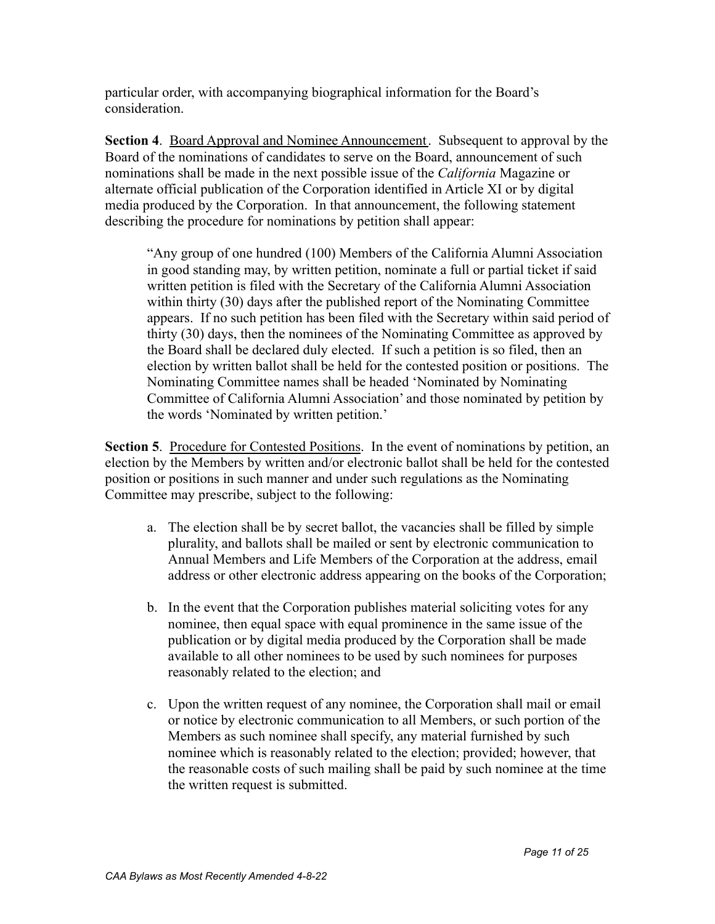particular order, with accompanying biographical information for the Board's consideration.

**Section 4.** Board Approval and Nominee Announcement. Subsequent to approval by the Board of the nominations of candidates to serve on the Board, announcement of such nominations shall be made in the next possible issue of the *California* Magazine or alternate official publication of the Corporation identified in Article XI or by digital media produced by the Corporation. In that announcement, the following statement describing the procedure for nominations by petition shall appear:

"Any group of one hundred (100) Members of the California Alumni Association in good standing may, by written petition, nominate a full or partial ticket if said written petition is filed with the Secretary of the California Alumni Association within thirty (30) days after the published report of the Nominating Committee appears. If no such petition has been filed with the Secretary within said period of thirty (30) days, then the nominees of the Nominating Committee as approved by the Board shall be declared duly elected. If such a petition is so filed, then an election by written ballot shall be held for the contested position or positions. The Nominating Committee names shall be headed 'Nominated by Nominating Committee of California Alumni Association' and those nominated by petition by the words 'Nominated by written petition.'

**Section 5**. Procedure for Contested Positions. In the event of nominations by petition, an election by the Members by written and/or electronic ballot shall be held for the contested position or positions in such manner and under such regulations as the Nominating Committee may prescribe, subject to the following:

- a. The election shall be by secret ballot, the vacancies shall be filled by simple plurality, and ballots shall be mailed or sent by electronic communication to Annual Members and Life Members of the Corporation at the address, email address or other electronic address appearing on the books of the Corporation;
- b. In the event that the Corporation publishes material soliciting votes for any nominee, then equal space with equal prominence in the same issue of the publication or by digital media produced by the Corporation shall be made available to all other nominees to be used by such nominees for purposes reasonably related to the election; and
- c. Upon the written request of any nominee, the Corporation shall mail or email or notice by electronic communication to all Members, or such portion of the Members as such nominee shall specify, any material furnished by such nominee which is reasonably related to the election; provided; however, that the reasonable costs of such mailing shall be paid by such nominee at the time the written request is submitted.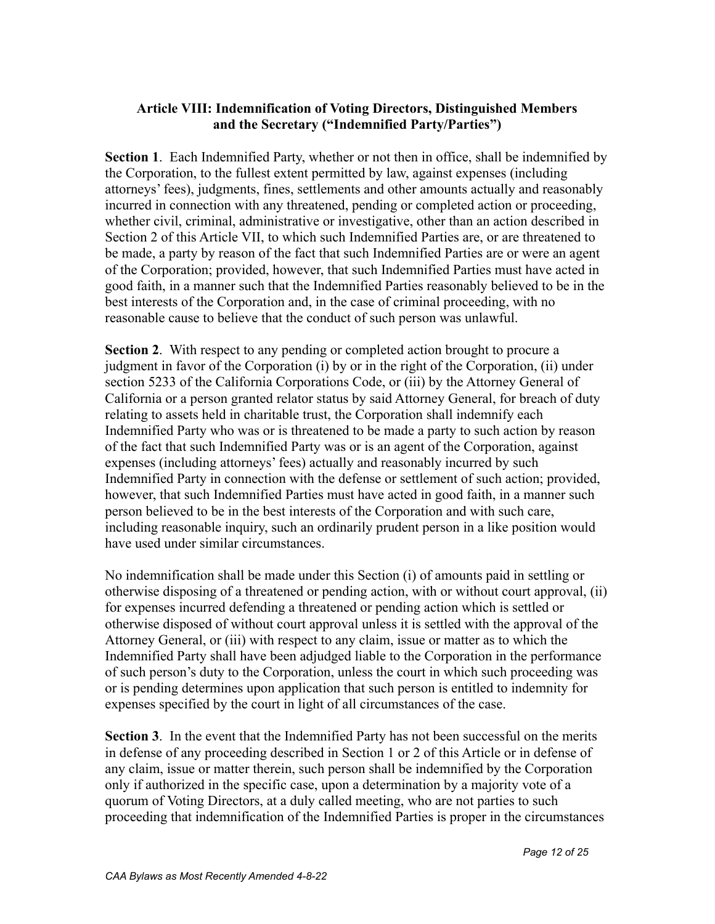## **Article VIII: Indemnification of Voting Directors, Distinguished Members and the Secretary ("Indemnified Party/Parties")**

**Section 1**. Each Indemnified Party, whether or not then in office, shall be indemnified by the Corporation, to the fullest extent permitted by law, against expenses (including attorneys' fees), judgments, fines, settlements and other amounts actually and reasonably incurred in connection with any threatened, pending or completed action or proceeding, whether civil, criminal, administrative or investigative, other than an action described in Section 2 of this Article VII, to which such Indemnified Parties are, or are threatened to be made, a party by reason of the fact that such Indemnified Parties are or were an agent of the Corporation; provided, however, that such Indemnified Parties must have acted in good faith, in a manner such that the Indemnified Parties reasonably believed to be in the best interests of the Corporation and, in the case of criminal proceeding, with no reasonable cause to believe that the conduct of such person was unlawful.

**Section 2**. With respect to any pending or completed action brought to procure a judgment in favor of the Corporation (i) by or in the right of the Corporation, (ii) under section 5233 of the California Corporations Code, or (iii) by the Attorney General of California or a person granted relator status by said Attorney General, for breach of duty relating to assets held in charitable trust, the Corporation shall indemnify each Indemnified Party who was or is threatened to be made a party to such action by reason of the fact that such Indemnified Party was or is an agent of the Corporation, against expenses (including attorneys' fees) actually and reasonably incurred by such Indemnified Party in connection with the defense or settlement of such action; provided, however, that such Indemnified Parties must have acted in good faith, in a manner such person believed to be in the best interests of the Corporation and with such care, including reasonable inquiry, such an ordinarily prudent person in a like position would have used under similar circumstances.

No indemnification shall be made under this Section (i) of amounts paid in settling or otherwise disposing of a threatened or pending action, with or without court approval, (ii) for expenses incurred defending a threatened or pending action which is settled or otherwise disposed of without court approval unless it is settled with the approval of the Attorney General, or (iii) with respect to any claim, issue or matter as to which the Indemnified Party shall have been adjudged liable to the Corporation in the performance of such person's duty to the Corporation, unless the court in which such proceeding was or is pending determines upon application that such person is entitled to indemnity for expenses specified by the court in light of all circumstances of the case.

**Section 3**. In the event that the Indemnified Party has not been successful on the merits in defense of any proceeding described in Section 1 or 2 of this Article or in defense of any claim, issue or matter therein, such person shall be indemnified by the Corporation only if authorized in the specific case, upon a determination by a majority vote of a quorum of Voting Directors, at a duly called meeting, who are not parties to such proceeding that indemnification of the Indemnified Parties is proper in the circumstances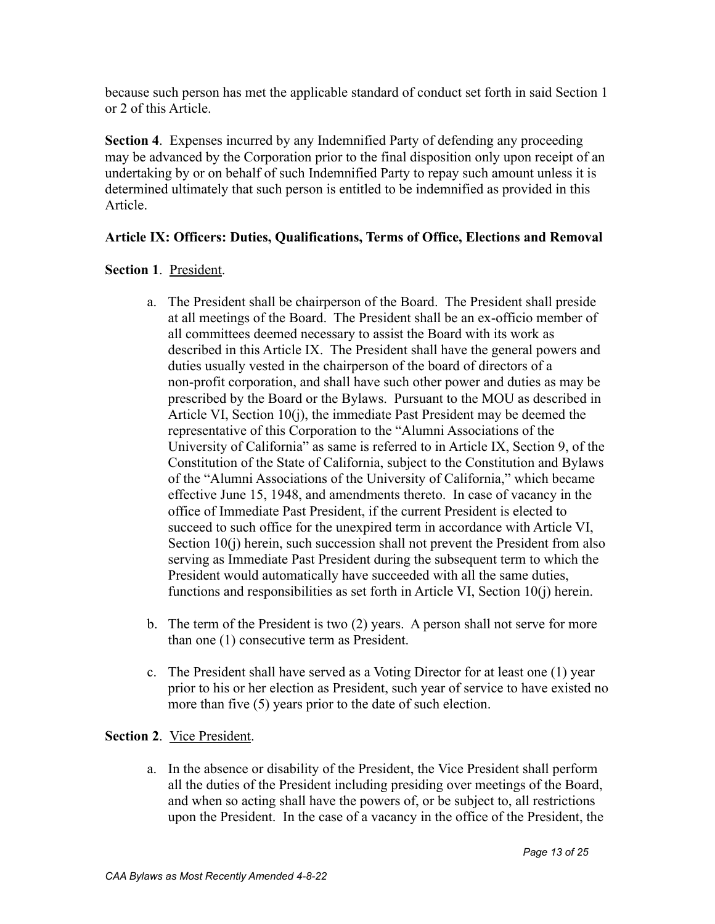because such person has met the applicable standard of conduct set forth in said Section 1 or 2 of this Article.

**Section 4**. Expenses incurred by any Indemnified Party of defending any proceeding may be advanced by the Corporation prior to the final disposition only upon receipt of an undertaking by or on behalf of such Indemnified Party to repay such amount unless it is determined ultimately that such person is entitled to be indemnified as provided in this Article.

## **Article IX: Officers: Duties, Qualifications, Terms of Office, Elections and Removal**

# **Section 1**. President.

- a. The President shall be chairperson of the Board. The President shall preside at all meetings of the Board. The President shall be an ex-officio member of all committees deemed necessary to assist the Board with its work as described in this Article IX. The President shall have the general powers and duties usually vested in the chairperson of the board of directors of a non-profit corporation, and shall have such other power and duties as may be prescribed by the Board or the Bylaws. Pursuant to the MOU as described in Article VI, Section 10(j), the immediate Past President may be deemed the representative of this Corporation to the "Alumni Associations of the University of California" as same is referred to in Article IX, Section 9, of the Constitution of the State of California, subject to the Constitution and Bylaws of the "Alumni Associations of the University of California," which became effective June 15, 1948, and amendments thereto. In case of vacancy in the office of Immediate Past President, if the current President is elected to succeed to such office for the unexpired term in accordance with Article VI, Section 10(j) herein, such succession shall not prevent the President from also serving as Immediate Past President during the subsequent term to which the President would automatically have succeeded with all the same duties, functions and responsibilities as set forth in Article VI, Section 10(j) herein.
- b. The term of the President is two (2) years. A person shall not serve for more than one (1) consecutive term as President.
- c. The President shall have served as a Voting Director for at least one (1) year prior to his or her election as President, such year of service to have existed no more than five (5) years prior to the date of such election.

## **Section 2**. Vice President.

a. In the absence or disability of the President, the Vice President shall perform all the duties of the President including presiding over meetings of the Board, and when so acting shall have the powers of, or be subject to, all restrictions upon the President. In the case of a vacancy in the office of the President, the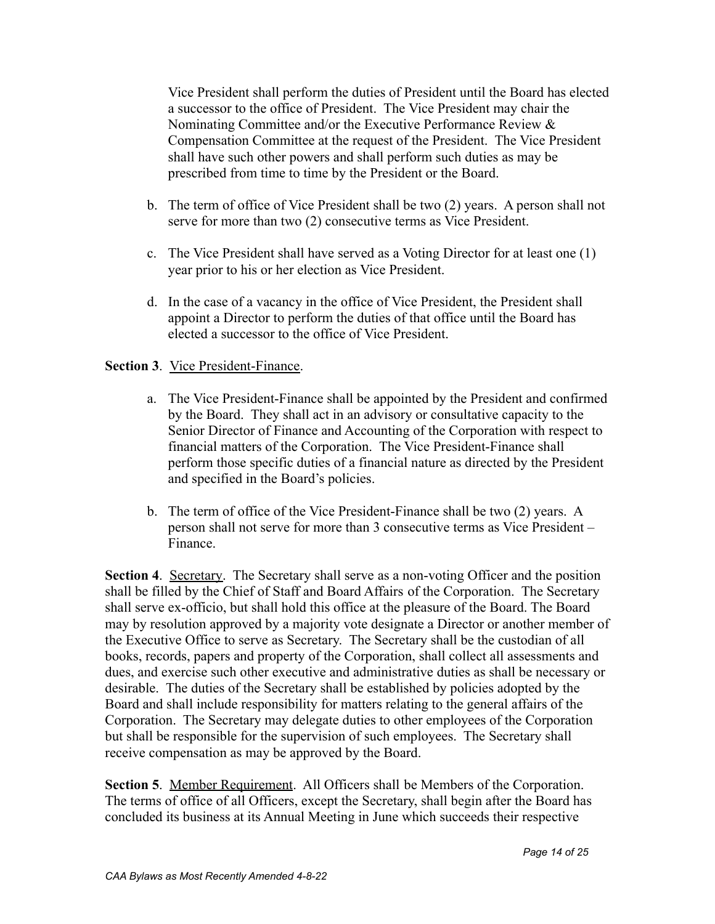Vice President shall perform the duties of President until the Board has elected a successor to the office of President. The Vice President may chair the Nominating Committee and/or the Executive Performance Review & Compensation Committee at the request of the President. The Vice President shall have such other powers and shall perform such duties as may be prescribed from time to time by the President or the Board.

- b. The term of office of Vice President shall be two (2) years. A person shall not serve for more than two (2) consecutive terms as Vice President.
- c. The Vice President shall have served as a Voting Director for at least one (1) year prior to his or her election as Vice President.
- d. In the case of a vacancy in the office of Vice President, the President shall appoint a Director to perform the duties of that office until the Board has elected a successor to the office of Vice President.

## **Section 3**. Vice President-Finance.

- a. The Vice President-Finance shall be appointed by the President and confirmed by the Board. They shall act in an advisory or consultative capacity to the Senior Director of Finance and Accounting of the Corporation with respect to financial matters of the Corporation. The Vice President-Finance shall perform those specific duties of a financial nature as directed by the President and specified in the Board's policies.
- b. The term of office of the Vice President-Finance shall be two (2) years. A person shall not serve for more than 3 consecutive terms as Vice President – Finance.

**Section 4**. Secretary. The Secretary shall serve as a non-voting Officer and the position shall be filled by the Chief of Staff and Board Affairs of the Corporation. The Secretary shall serve ex-officio, but shall hold this office at the pleasure of the Board. The Board may by resolution approved by a majority vote designate a Director or another member of the Executive Office to serve as Secretary. The Secretary shall be the custodian of all books, records, papers and property of the Corporation, shall collect all assessments and dues, and exercise such other executive and administrative duties as shall be necessary or desirable. The duties of the Secretary shall be established by policies adopted by the Board and shall include responsibility for matters relating to the general affairs of the Corporation. The Secretary may delegate duties to other employees of the Corporation but shall be responsible for the supervision of such employees. The Secretary shall receive compensation as may be approved by the Board.

**Section 5**. Member Requirement. All Officers shall be Members of the Corporation. The terms of office of all Officers, except the Secretary, shall begin after the Board has concluded its business at its Annual Meeting in June which succeeds their respective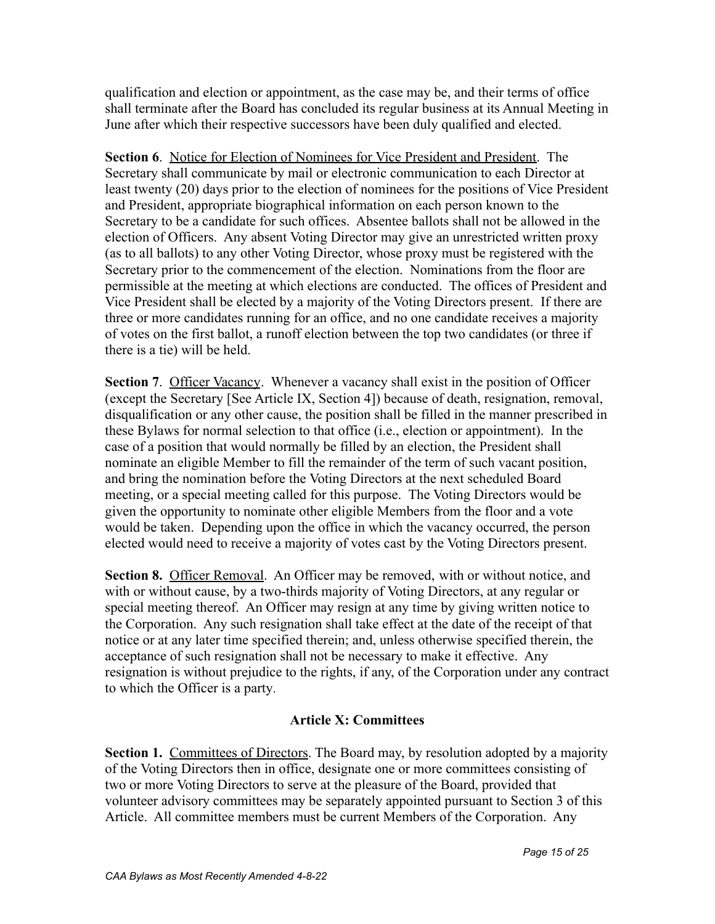qualification and election or appointment, as the case may be, and their terms of office shall terminate after the Board has concluded its regular business at its Annual Meeting in June after which their respective successors have been duly qualified and elected.

**Section 6**. Notice for Election of Nominees for Vice President and President. The Secretary shall communicate by mail or electronic communication to each Director at least twenty (20) days prior to the election of nominees for the positions of Vice President and President, appropriate biographical information on each person known to the Secretary to be a candidate for such offices. Absentee ballots shall not be allowed in the election of Officers. Any absent Voting Director may give an unrestricted written proxy (as to all ballots) to any other Voting Director, whose proxy must be registered with the Secretary prior to the commencement of the election. Nominations from the floor are permissible at the meeting at which elections are conducted. The offices of President and Vice President shall be elected by a majority of the Voting Directors present. If there are three or more candidates running for an office, and no one candidate receives a majority of votes on the first ballot, a runoff election between the top two candidates (or three if there is a tie) will be held.

**Section 7.** Officer Vacancy. Whenever a vacancy shall exist in the position of Officer (except the Secretary [See Article IX, Section 4]) because of death, resignation, removal, disqualification or any other cause, the position shall be filled in the manner prescribed in these Bylaws for normal selection to that office (i.e., election or appointment). In the case of a position that would normally be filled by an election, the President shall nominate an eligible Member to fill the remainder of the term of such vacant position, and bring the nomination before the Voting Directors at the next scheduled Board meeting, or a special meeting called for this purpose. The Voting Directors would be given the opportunity to nominate other eligible Members from the floor and a vote would be taken. Depending upon the office in which the vacancy occurred, the person elected would need to receive a majority of votes cast by the Voting Directors present.

**Section 8.** Officer Removal. An Officer may be removed, with or without notice, and with or without cause, by a two-thirds majority of Voting Directors, at any regular or special meeting thereof. An Officer may resign at any time by giving written notice to the Corporation. Any such resignation shall take effect at the date of the receipt of that notice or at any later time specified therein; and, unless otherwise specified therein, the acceptance of such resignation shall not be necessary to make it effective. Any resignation is without prejudice to the rights, if any, of the Corporation under any contract to which the Officer is a party.

# **Article X: Committees**

**Section 1.** Committees of Directors. The Board may, by resolution adopted by a majority of the Voting Directors then in office, designate one or more committees consisting of two or more Voting Directors to serve at the pleasure of the Board, provided that volunteer advisory committees may be separately appointed pursuant to Section 3 of this Article. All committee members must be current Members of the Corporation. Any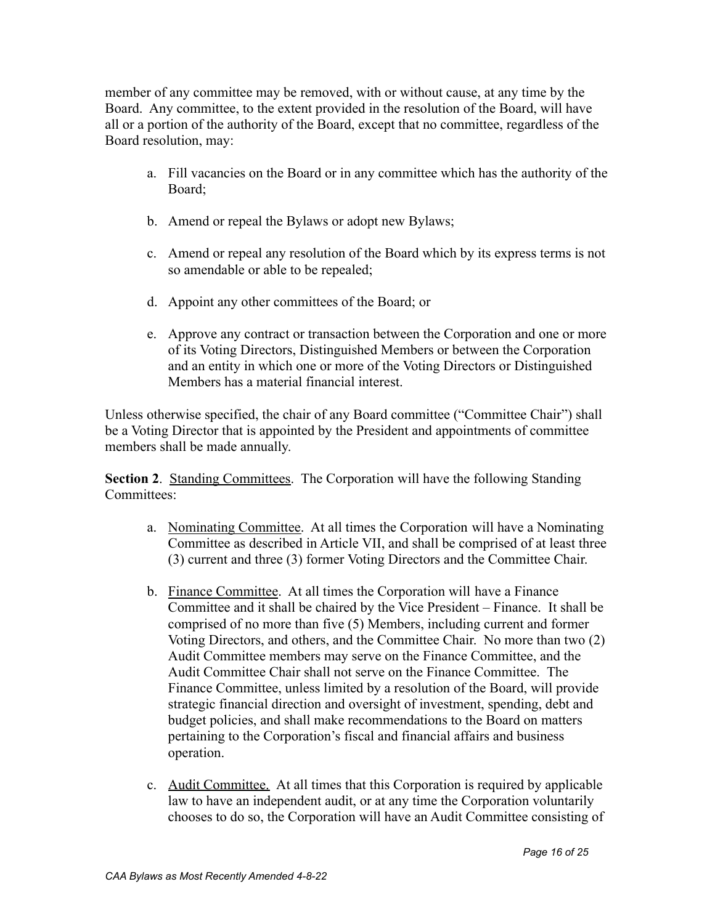member of any committee may be removed, with or without cause, at any time by the Board. Any committee, to the extent provided in the resolution of the Board, will have all or a portion of the authority of the Board, except that no committee, regardless of the Board resolution, may:

- a. Fill vacancies on the Board or in any committee which has the authority of the Board;
- b. Amend or repeal the Bylaws or adopt new Bylaws;
- c. Amend or repeal any resolution of the Board which by its express terms is not so amendable or able to be repealed;
- d. Appoint any other committees of the Board; or
- e. Approve any contract or transaction between the Corporation and one or more of its Voting Directors, Distinguished Members or between the Corporation and an entity in which one or more of the Voting Directors or Distinguished Members has a material financial interest.

Unless otherwise specified, the chair of any Board committee ("Committee Chair") shall be a Voting Director that is appointed by the President and appointments of committee members shall be made annually.

**Section 2.** Standing Committees. The Corporation will have the following Standing Committees:

- a. Nominating Committee. At all times the Corporation will have a Nominating Committee as described in Article VII, and shall be comprised of at least three (3) current and three (3) former Voting Directors and the Committee Chair.
- b. Finance Committee. At all times the Corporation will have a Finance Committee and it shall be chaired by the Vice President – Finance. It shall be comprised of no more than five (5) Members, including current and former Voting Directors, and others, and the Committee Chair. No more than two (2) Audit Committee members may serve on the Finance Committee, and the Audit Committee Chair shall not serve on the Finance Committee. The Finance Committee, unless limited by a resolution of the Board, will provide strategic financial direction and oversight of investment, spending, debt and budget policies, and shall make recommendations to the Board on matters pertaining to the Corporation's fiscal and financial affairs and business operation.
- c. Audit Committee. At all times that this Corporation is required by applicable law to have an independent audit, or at any time the Corporation voluntarily chooses to do so, the Corporation will have an Audit Committee consisting of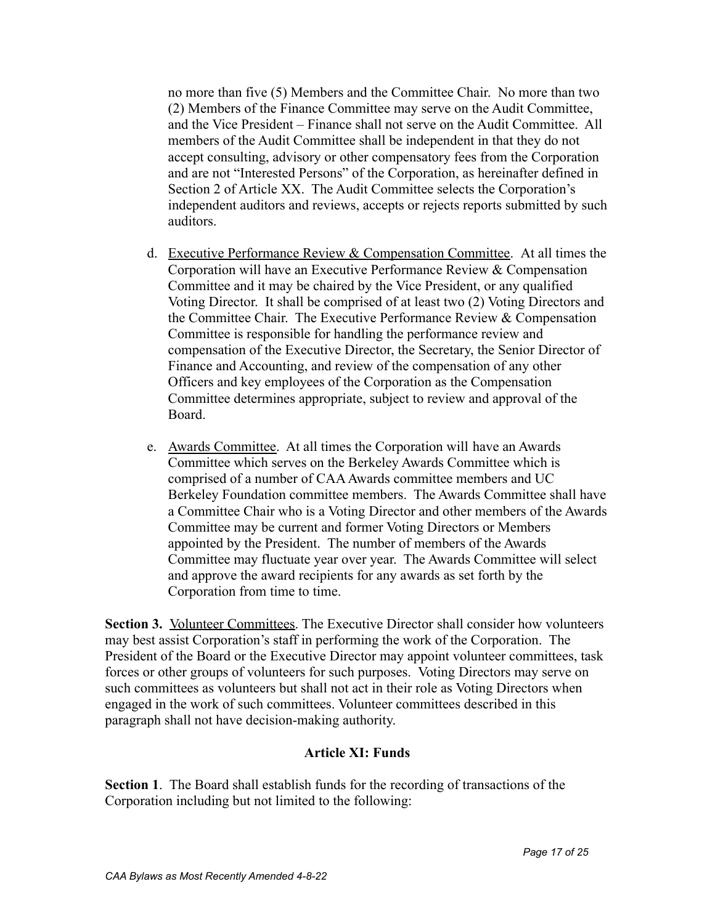no more than five (5) Members and the Committee Chair. No more than two (2) Members of the Finance Committee may serve on the Audit Committee, and the Vice President – Finance shall not serve on the Audit Committee. All members of the Audit Committee shall be independent in that they do not accept consulting, advisory or other compensatory fees from the Corporation and are not "Interested Persons" of the Corporation, as hereinafter defined in Section 2 of Article XX. The Audit Committee selects the Corporation's independent auditors and reviews, accepts or rejects reports submitted by such auditors.

- d. Executive Performance Review & Compensation Committee. At all times the Corporation will have an Executive Performance Review & Compensation Committee and it may be chaired by the Vice President, or any qualified Voting Director. It shall be comprised of at least two (2) Voting Directors and the Committee Chair. The Executive Performance Review & Compensation Committee is responsible for handling the performance review and compensation of the Executive Director, the Secretary, the Senior Director of Finance and Accounting, and review of the compensation of any other Officers and key employees of the Corporation as the Compensation Committee determines appropriate, subject to review and approval of the Board.
- e. Awards Committee. At all times the Corporation will have an Awards Committee which serves on the Berkeley Awards Committee which is comprised of a number of CAA Awards committee members and UC Berkeley Foundation committee members. The Awards Committee shall have a Committee Chair who is a Voting Director and other members of the Awards Committee may be current and former Voting Directors or Members appointed by the President. The number of members of the Awards Committee may fluctuate year over year. The Awards Committee will select and approve the award recipients for any awards as set forth by the Corporation from time to time.

Section 3. Volunteer Committees. The Executive Director shall consider how volunteers may best assist Corporation's staff in performing the work of the Corporation. The President of the Board or the Executive Director may appoint volunteer committees, task forces or other groups of volunteers for such purposes. Voting Directors may serve on such committees as volunteers but shall not act in their role as Voting Directors when engaged in the work of such committees. Volunteer committees described in this paragraph shall not have decision-making authority.

## **Article XI: Funds**

**Section 1**. The Board shall establish funds for the recording of transactions of the Corporation including but not limited to the following: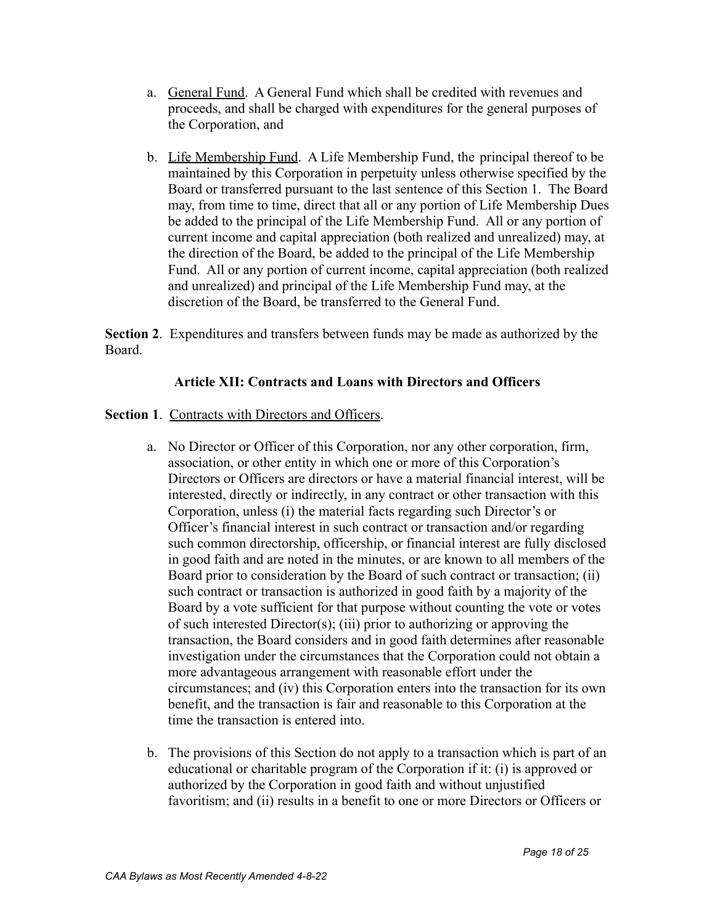- a. General Fund. A General Fund which shall be credited with revenues and proceeds, and shall be charged with expenditures for the general purposes of the Corporation, and
- b. Life Membership Fund. A Life Membership Fund, the principal thereof to be maintained by this Corporation in perpetuity unless otherwise specified by the Board or transferred pursuant to the last sentence of this Section 1. The Board may, from time to time, direct that all or any portion of Life Membership Dues be added to the principal of the Life Membership Fund. All or any portion of current income and capital appreciation (both realized and unrealized) may, at the direction of the Board, be added to the principal of the Life Membership Fund. All or any portion of current income, capital appreciation (both realized and unrealized) and principal of the Life Membership Fund may, at the discretion of the Board, be transferred to the General Fund.

**Section 2**. Expenditures and transfers between funds may be made as authorized by the Board.

# **Article XII: Contracts and Loans with Directors and Officers**

### **Section 1**. Contracts with Directors and Officers.

- a. No Director or Officer of this Corporation, nor any other corporation, firm, association, or other entity in which one or more of this Corporation's Directors or Officers are directors or have a material financial interest, will be interested, directly or indirectly, in any contract or other transaction with this Corporation, unless (i) the material facts regarding such Director's or Officer's financial interest in such contract or transaction and/or regarding such common directorship, officership, or financial interest are fully disclosed in good faith and are noted in the minutes, or are known to all members of the Board prior to consideration by the Board of such contract or transaction; (ii) such contract or transaction is authorized in good faith by a majority of the Board by a vote sufficient for that purpose without counting the vote or votes of such interested Director(s); (iii) prior to authorizing or approving the transaction, the Board considers and in good faith determines after reasonable investigation under the circumstances that the Corporation could not obtain a more advantageous arrangement with reasonable effort under the circumstances; and (iv) this Corporation enters into the transaction for its own benefit, and the transaction is fair and reasonable to this Corporation at the time the transaction is entered into.
- b. The provisions of this Section do not apply to a transaction which is part of an educational or charitable program of the Corporation if it: (i) is approved or authorized by the Corporation in good faith and without unjustified favoritism; and (ii) results in a benefit to one or more Directors or Officers or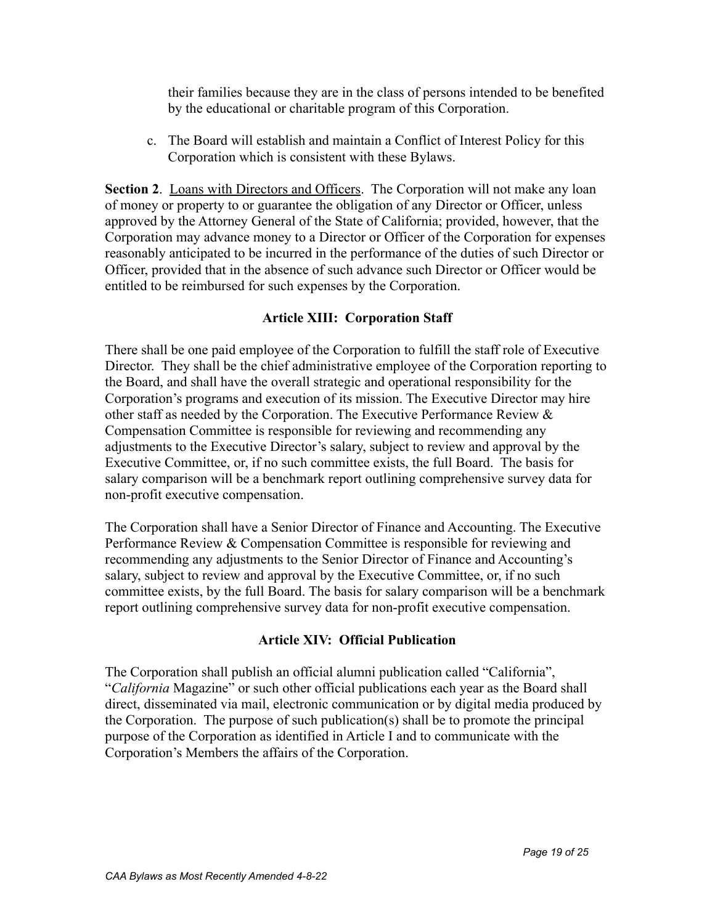their families because they are in the class of persons intended to be benefited by the educational or charitable program of this Corporation.

c. The Board will establish and maintain a Conflict of Interest Policy for this Corporation which is consistent with these Bylaws.

**Section 2.** Loans with Directors and Officers. The Corporation will not make any loan of money or property to or guarantee the obligation of any Director or Officer, unless approved by the Attorney General of the State of California; provided, however, that the Corporation may advance money to a Director or Officer of the Corporation for expenses reasonably anticipated to be incurred in the performance of the duties of such Director or Officer, provided that in the absence of such advance such Director or Officer would be entitled to be reimbursed for such expenses by the Corporation.

# **Article XIII: Corporation Staff**

There shall be one paid employee of the Corporation to fulfill the staff role of Executive Director. They shall be the chief administrative employee of the Corporation reporting to the Board, and shall have the overall strategic and operational responsibility for the Corporation's programs and execution of its mission. The Executive Director may hire other staff as needed by the Corporation. The Executive Performance Review  $\&$ Compensation Committee is responsible for reviewing and recommending any adjustments to the Executive Director's salary, subject to review and approval by the Executive Committee, or, if no such committee exists, the full Board. The basis for salary comparison will be a benchmark report outlining comprehensive survey data for non-profit executive compensation.

The Corporation shall have a Senior Director of Finance and Accounting. The Executive Performance Review & Compensation Committee is responsible for reviewing and recommending any adjustments to the Senior Director of Finance and Accounting's salary, subject to review and approval by the Executive Committee, or, if no such committee exists, by the full Board. The basis for salary comparison will be a benchmark report outlining comprehensive survey data for non-profit executive compensation.

## **Article XIV: Official Publication**

The Corporation shall publish an official alumni publication called "California", "*California* Magazine" or such other official publications each year as the Board shall direct, disseminated via mail, electronic communication or by digital media produced by the Corporation. The purpose of such publication(s) shall be to promote the principal purpose of the Corporation as identified in Article I and to communicate with the Corporation's Members the affairs of the Corporation.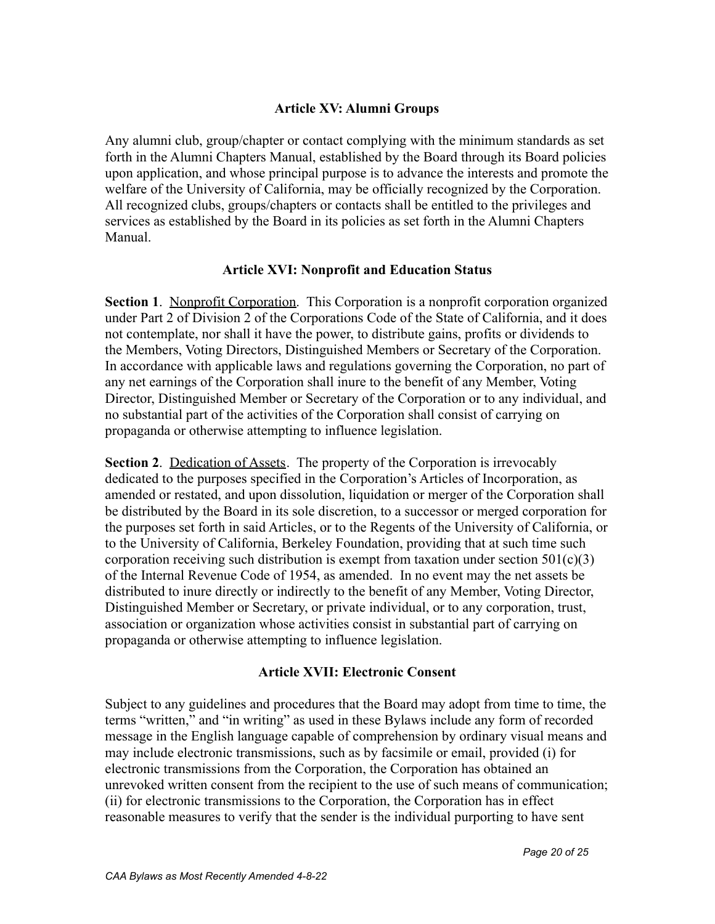## **Article XV: Alumni Groups**

Any alumni club, group/chapter or contact complying with the minimum standards as set forth in the Alumni Chapters Manual, established by the Board through its Board policies upon application, and whose principal purpose is to advance the interests and promote the welfare of the University of California, may be officially recognized by the Corporation. All recognized clubs, groups/chapters or contacts shall be entitled to the privileges and services as established by the Board in its policies as set forth in the Alumni Chapters Manual.

### **Article XVI: Nonprofit and Education Status**

**Section 1.** Nonprofit Corporation. This Corporation is a nonprofit corporation organized under Part 2 of Division 2 of the Corporations Code of the State of California, and it does not contemplate, nor shall it have the power, to distribute gains, profits or dividends to the Members, Voting Directors, Distinguished Members or Secretary of the Corporation. In accordance with applicable laws and regulations governing the Corporation, no part of any net earnings of the Corporation shall inure to the benefit of any Member, Voting Director, Distinguished Member or Secretary of the Corporation or to any individual, and no substantial part of the activities of the Corporation shall consist of carrying on propaganda or otherwise attempting to influence legislation.

**Section 2.** Dedication of Assets. The property of the Corporation is irrevocably dedicated to the purposes specified in the Corporation's Articles of Incorporation, as amended or restated, and upon dissolution, liquidation or merger of the Corporation shall be distributed by the Board in its sole discretion, to a successor or merged corporation for the purposes set forth in said Articles, or to the Regents of the University of California, or to the University of California, Berkeley Foundation, providing that at such time such corporation receiving such distribution is exempt from taxation under section  $501(c)(3)$ of the Internal Revenue Code of 1954, as amended. In no event may the net assets be distributed to inure directly or indirectly to the benefit of any Member, Voting Director, Distinguished Member or Secretary, or private individual, or to any corporation, trust, association or organization whose activities consist in substantial part of carrying on propaganda or otherwise attempting to influence legislation.

## **Article XVII: Electronic Consent**

Subject to any guidelines and procedures that the Board may adopt from time to time, the terms "written," and "in writing" as used in these Bylaws include any form of recorded message in the English language capable of comprehension by ordinary visual means and may include electronic transmissions, such as by facsimile or email, provided (i) for electronic transmissions from the Corporation, the Corporation has obtained an unrevoked written consent from the recipient to the use of such means of communication; (ii) for electronic transmissions to the Corporation, the Corporation has in effect reasonable measures to verify that the sender is the individual purporting to have sent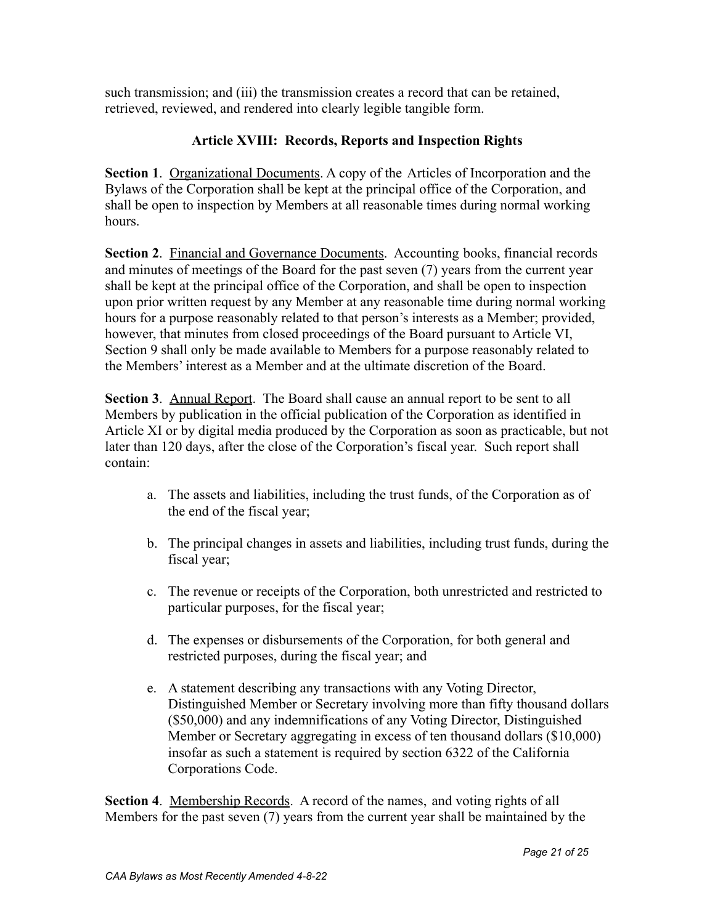such transmission; and (iii) the transmission creates a record that can be retained, retrieved, reviewed, and rendered into clearly legible tangible form.

# **Article XVIII: Records, Reports and Inspection Rights**

**Section 1**. Organizational Documents. A copy of the Articles of Incorporation and the Bylaws of the Corporation shall be kept at the principal office of the Corporation, and shall be open to inspection by Members at all reasonable times during normal working hours.

**Section 2.** Financial and Governance Documents. Accounting books, financial records and minutes of meetings of the Board for the past seven (7) years from the current year shall be kept at the principal office of the Corporation, and shall be open to inspection upon prior written request by any Member at any reasonable time during normal working hours for a purpose reasonably related to that person's interests as a Member; provided, however, that minutes from closed proceedings of the Board pursuant to Article VI, Section 9 shall only be made available to Members for a purpose reasonably related to the Members' interest as a Member and at the ultimate discretion of the Board.

**Section 3**. Annual Report. The Board shall cause an annual report to be sent to all Members by publication in the official publication of the Corporation as identified in Article XI or by digital media produced by the Corporation as soon as practicable, but not later than 120 days, after the close of the Corporation's fiscal year. Such report shall contain:

- a. The assets and liabilities, including the trust funds, of the Corporation as of the end of the fiscal year;
- b. The principal changes in assets and liabilities, including trust funds, during the fiscal year;
- c. The revenue or receipts of the Corporation, both unrestricted and restricted to particular purposes, for the fiscal year;
- d. The expenses or disbursements of the Corporation, for both general and restricted purposes, during the fiscal year; and
- e. A statement describing any transactions with any Voting Director, Distinguished Member or Secretary involving more than fifty thousand dollars (\$50,000) and any indemnifications of any Voting Director, Distinguished Member or Secretary aggregating in excess of ten thousand dollars (\$10,000) insofar as such a statement is required by section 6322 of the California Corporations Code.

**Section 4.** Membership Records. A record of the names, and voting rights of all Members for the past seven (7) years from the current year shall be maintained by the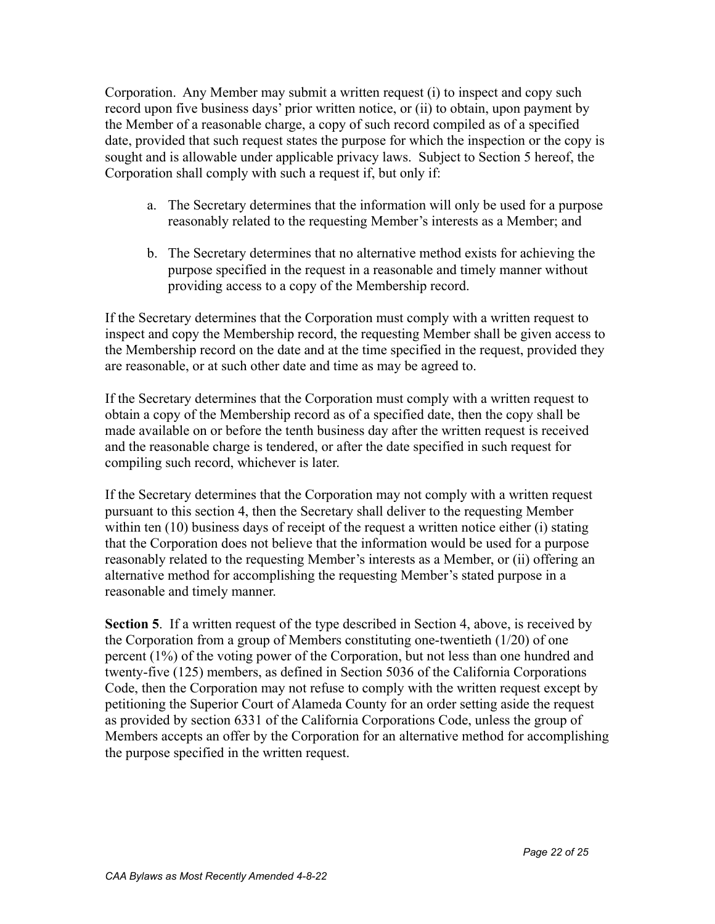Corporation. Any Member may submit a written request (i) to inspect and copy such record upon five business days' prior written notice, or (ii) to obtain, upon payment by the Member of a reasonable charge, a copy of such record compiled as of a specified date, provided that such request states the purpose for which the inspection or the copy is sought and is allowable under applicable privacy laws. Subject to Section 5 hereof, the Corporation shall comply with such a request if, but only if:

- a. The Secretary determines that the information will only be used for a purpose reasonably related to the requesting Member's interests as a Member; and
- b. The Secretary determines that no alternative method exists for achieving the purpose specified in the request in a reasonable and timely manner without providing access to a copy of the Membership record.

If the Secretary determines that the Corporation must comply with a written request to inspect and copy the Membership record, the requesting Member shall be given access to the Membership record on the date and at the time specified in the request, provided they are reasonable, or at such other date and time as may be agreed to.

If the Secretary determines that the Corporation must comply with a written request to obtain a copy of the Membership record as of a specified date, then the copy shall be made available on or before the tenth business day after the written request is received and the reasonable charge is tendered, or after the date specified in such request for compiling such record, whichever is later.

If the Secretary determines that the Corporation may not comply with a written request pursuant to this section 4, then the Secretary shall deliver to the requesting Member within ten (10) business days of receipt of the request a written notice either (i) stating that the Corporation does not believe that the information would be used for a purpose reasonably related to the requesting Member's interests as a Member, or (ii) offering an alternative method for accomplishing the requesting Member's stated purpose in a reasonable and timely manner.

**Section 5**. If a written request of the type described in Section 4, above, is received by the Corporation from a group of Members constituting one-twentieth (1/20) of one percent (1%) of the voting power of the Corporation, but not less than one hundred and twenty-five (125) members, as defined in Section 5036 of the California Corporations Code, then the Corporation may not refuse to comply with the written request except by petitioning the Superior Court of Alameda County for an order setting aside the request as provided by section 6331 of the California Corporations Code, unless the group of Members accepts an offer by the Corporation for an alternative method for accomplishing the purpose specified in the written request.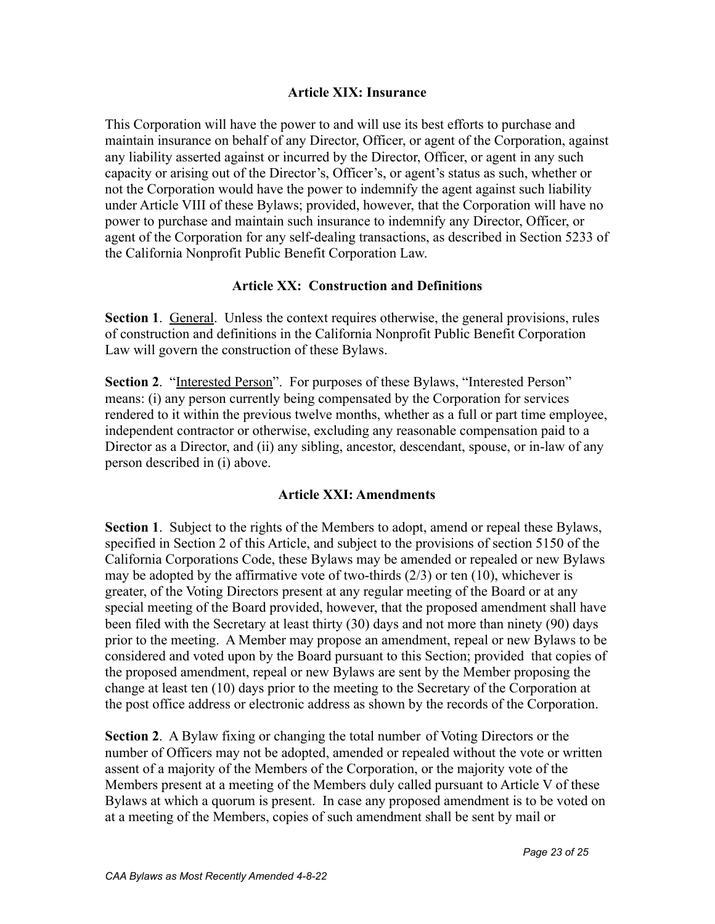#### **Article XIX: Insurance**

This Corporation will have the power to and will use its best efforts to purchase and maintain insurance on behalf of any Director, Officer, or agent of the Corporation, against any liability asserted against or incurred by the Director, Officer, or agent in any such capacity or arising out of the Director's, Officer's, or agent's status as such, whether or not the Corporation would have the power to indemnify the agent against such liability under Article VIII of these Bylaws; provided, however, that the Corporation will have no power to purchase and maintain such insurance to indemnify any Director, Officer, or agent of the Corporation for any self-dealing transactions, as described in Section 5233 of the California Nonprofit Public Benefit Corporation Law.

## **Article XX: Construction and Definitions**

**Section 1.** General. Unless the context requires otherwise, the general provisions, rules of construction and definitions in the California Nonprofit Public Benefit Corporation Law will govern the construction of these Bylaws.

**Section 2.** "Interested Person". For purposes of these Bylaws, "Interested Person" means: (i) any person currently being compensated by the Corporation for services rendered to it within the previous twelve months, whether as a full or part time employee, independent contractor or otherwise, excluding any reasonable compensation paid to a Director as a Director, and (ii) any sibling, ancestor, descendant, spouse, or in-law of any person described in (i) above.

## **Article XXI: Amendments**

**Section 1**. Subject to the rights of the Members to adopt, amend or repeal these Bylaws, specified in Section 2 of this Article, and subject to the provisions of section 5150 of the California Corporations Code, these Bylaws may be amended or repealed or new Bylaws may be adopted by the affirmative vote of two-thirds  $(2/3)$  or ten  $(10)$ , whichever is greater, of the Voting Directors present at any regular meeting of the Board or at any special meeting of the Board provided, however, that the proposed amendment shall have been filed with the Secretary at least thirty (30) days and not more than ninety (90) days prior to the meeting. A Member may propose an amendment, repeal or new Bylaws to be considered and voted upon by the Board pursuant to this Section; provided that copies of the proposed amendment, repeal or new Bylaws are sent by the Member proposing the change at least ten (10) days prior to the meeting to the Secretary of the Corporation at the post office address or electronic address as shown by the records of the Corporation.

**Section 2**. A Bylaw fixing or changing the total number of Voting Directors or the number of Officers may not be adopted, amended or repealed without the vote or written assent of a majority of the Members of the Corporation, or the majority vote of the Members present at a meeting of the Members duly called pursuant to Article V of these Bylaws at which a quorum is present. In case any proposed amendment is to be voted on at a meeting of the Members, copies of such amendment shall be sent by mail or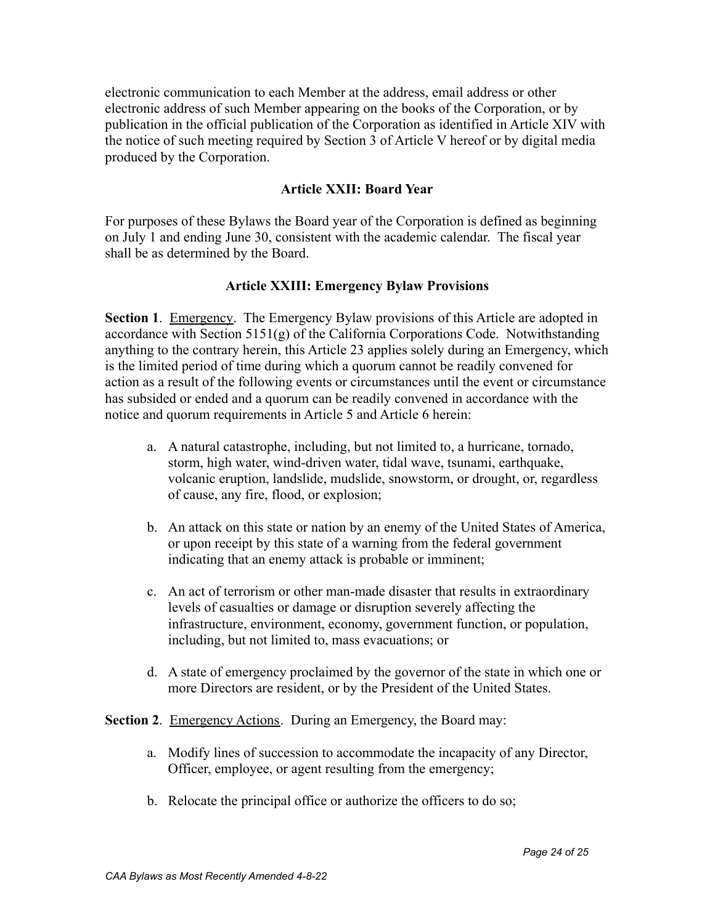electronic communication to each Member at the address, email address or other electronic address of such Member appearing on the books of the Corporation, or by publication in the official publication of the Corporation as identified in Article XIV with the notice of such meeting required by Section 3 of Article V hereof or by digital media produced by the Corporation.

#### **Article XXII: Board Year**

For purposes of these Bylaws the Board year of the Corporation is defined as beginning on July 1 and ending June 30, consistent with the academic calendar. The fiscal year shall be as determined by the Board.

### **Article XXIII: Emergency Bylaw Provisions**

**Section 1.** Emergency. The Emergency Bylaw provisions of this Article are adopted in accordance with Section 5151(g) of the California Corporations Code. Notwithstanding anything to the contrary herein, this Article 23 applies solely during an Emergency, which is the limited period of time during which a quorum cannot be readily convened for action as a result of the following events or circumstances until the event or circumstance has subsided or ended and a quorum can be readily convened in accordance with the notice and quorum requirements in Article 5 and Article 6 herein:

- a. A natural catastrophe, including, but not limited to, a hurricane, tornado, storm, high water, wind-driven water, tidal wave, tsunami, earthquake, volcanic eruption, landslide, mudslide, snowstorm, or drought, or, regardless of cause, any fire, flood, or explosion;
- b. An attack on this state or nation by an enemy of the United States of America, or upon receipt by this state of a warning from the federal government indicating that an enemy attack is probable or imminent;
- c. An act of terrorism or other man-made disaster that results in extraordinary levels of casualties or damage or disruption severely affecting the infrastructure, environment, economy, government function, or population, including, but not limited to, mass evacuations; or
- d. A state of emergency proclaimed by the governor of the state in which one or more Directors are resident, or by the President of the United States.

**Section 2.** Emergency Actions. During an Emergency, the Board may:

- a. Modify lines of succession to accommodate the incapacity of any Director, Officer, employee, or agent resulting from the emergency;
- b. Relocate the principal office or authorize the officers to do so;